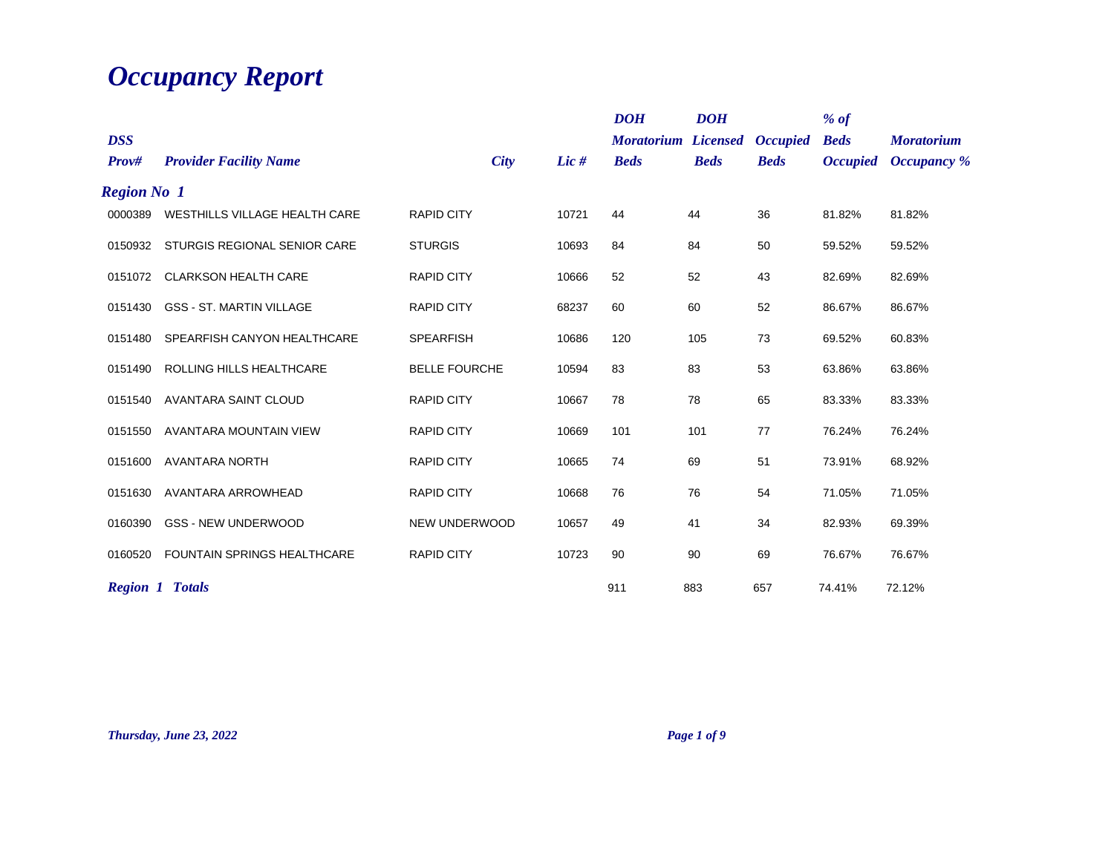## *Occupancy Report*

| <b>DSS</b><br>Prov# | <b>Provider Facility Name</b>      | City                 | Lic $#$ | <b>DOH</b><br><b>Moratorium Licensed</b><br><b>Beds</b> | <b>DOH</b><br><b>Beds</b> | <b>Occupied</b><br><b>Beds</b> | $%$ of<br><b>Beds</b><br><b>Occupied</b> | <b>Moratorium</b><br><b>Occupancy</b> % |
|---------------------|------------------------------------|----------------------|---------|---------------------------------------------------------|---------------------------|--------------------------------|------------------------------------------|-----------------------------------------|
| <b>Region No 1</b>  |                                    |                      |         |                                                         |                           |                                |                                          |                                         |
| 0000389             | WESTHILLS VILLAGE HEALTH CARE      | <b>RAPID CITY</b>    | 10721   | 44                                                      | 44                        | 36                             | 81.82%                                   | 81.82%                                  |
| 0150932             | STURGIS REGIONAL SENIOR CARE       | <b>STURGIS</b>       | 10693   | 84                                                      | 84                        | 50                             | 59.52%                                   | 59.52%                                  |
| 0151072             | <b>CLARKSON HEALTH CARE</b>        | <b>RAPID CITY</b>    | 10666   | 52                                                      | 52                        | 43                             | 82.69%                                   | 82.69%                                  |
| 0151430             | <b>GSS - ST. MARTIN VILLAGE</b>    | <b>RAPID CITY</b>    | 68237   | 60                                                      | 60                        | 52                             | 86.67%                                   | 86.67%                                  |
| 0151480             | SPEARFISH CANYON HEALTHCARE        | <b>SPEARFISH</b>     | 10686   | 120                                                     | 105                       | 73                             | 69.52%                                   | 60.83%                                  |
| 0151490             | ROLLING HILLS HEALTHCARE           | <b>BELLE FOURCHE</b> | 10594   | 83                                                      | 83                        | 53                             | 63.86%                                   | 63.86%                                  |
| 0151540             | AVANTARA SAINT CLOUD               | <b>RAPID CITY</b>    | 10667   | 78                                                      | 78                        | 65                             | 83.33%                                   | 83.33%                                  |
| 0151550             | AVANTARA MOUNTAIN VIEW             | <b>RAPID CITY</b>    | 10669   | 101                                                     | 101                       | 77                             | 76.24%                                   | 76.24%                                  |
| 0151600             | <b>AVANTARA NORTH</b>              | <b>RAPID CITY</b>    | 10665   | 74                                                      | 69                        | 51                             | 73.91%                                   | 68.92%                                  |
| 0151630             | AVANTARA ARROWHEAD                 | <b>RAPID CITY</b>    | 10668   | 76                                                      | 76                        | 54                             | 71.05%                                   | 71.05%                                  |
| 0160390             | <b>GSS - NEW UNDERWOOD</b>         | <b>NEW UNDERWOOD</b> | 10657   | 49                                                      | 41                        | 34                             | 82.93%                                   | 69.39%                                  |
| 0160520             | <b>FOUNTAIN SPRINGS HEALTHCARE</b> | <b>RAPID CITY</b>    | 10723   | 90                                                      | 90                        | 69                             | 76.67%                                   | 76.67%                                  |
|                     | <b>Region 1 Totals</b>             |                      |         | 911                                                     | 883                       | 657                            | 74.41%                                   | 72.12%                                  |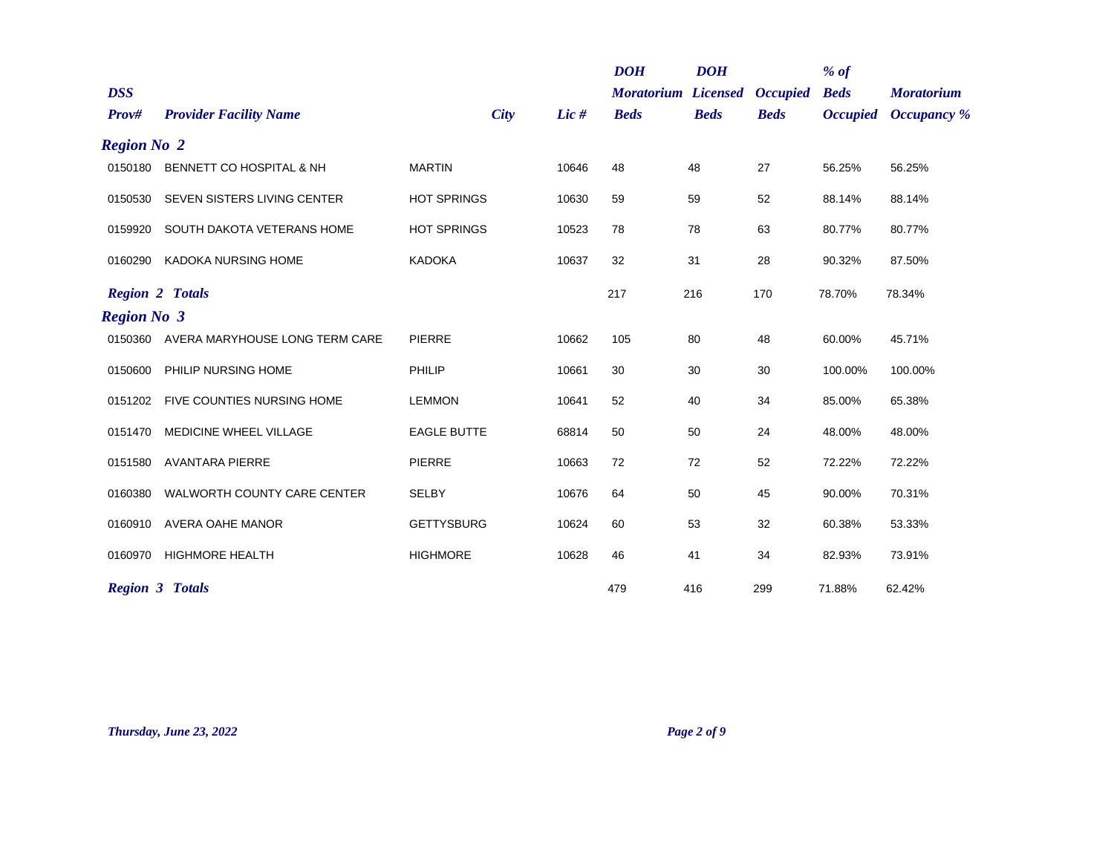|                     |                                |                    |         | <b>DOH</b>                                | <b>DOH</b>  |                                | $%$ of                         |                                         |
|---------------------|--------------------------------|--------------------|---------|-------------------------------------------|-------------|--------------------------------|--------------------------------|-----------------------------------------|
| <b>DSS</b><br>Prov# | <b>Provider Facility Name</b>  | <b>City</b>        | Lic $#$ | <b>Moratorium Licensed</b><br><b>Beds</b> | <b>Beds</b> | <b>Occupied</b><br><b>Beds</b> | <b>Beds</b><br><b>Occupied</b> | <b>Moratorium</b><br><b>Occupancy</b> % |
| <b>Region No 2</b>  |                                |                    |         |                                           |             |                                |                                |                                         |
| 0150180             | BENNETT CO HOSPITAL & NH       | <b>MARTIN</b>      | 10646   | 48                                        | 48          | 27                             | 56.25%                         | 56.25%                                  |
| 0150530             | SEVEN SISTERS LIVING CENTER    | <b>HOT SPRINGS</b> | 10630   | 59                                        | 59          | 52                             | 88.14%                         | 88.14%                                  |
| 0159920             | SOUTH DAKOTA VETERANS HOME     | <b>HOT SPRINGS</b> | 10523   | 78                                        | 78          | 63                             | 80.77%                         | 80.77%                                  |
| 0160290             | <b>KADOKA NURSING HOME</b>     | <b>KADOKA</b>      | 10637   | 32                                        | 31          | 28                             | 90.32%                         | 87.50%                                  |
|                     | <b>Region 2 Totals</b>         |                    |         | 217                                       | 216         | 170                            | 78.70%                         | 78.34%                                  |
| <b>Region No 3</b>  |                                |                    |         |                                           |             |                                |                                |                                         |
| 0150360             | AVERA MARYHOUSE LONG TERM CARE | <b>PIERRE</b>      | 10662   | 105                                       | 80          | 48                             | 60.00%                         | 45.71%                                  |
| 0150600             | PHILIP NURSING HOME            | PHILIP             | 10661   | 30                                        | 30          | 30                             | 100.00%                        | 100.00%                                 |
| 0151202             | FIVE COUNTIES NURSING HOME     | <b>LEMMON</b>      | 10641   | 52                                        | 40          | 34                             | 85.00%                         | 65.38%                                  |
| 0151470             | <b>MEDICINE WHEEL VILLAGE</b>  | <b>EAGLE BUTTE</b> | 68814   | 50                                        | 50          | 24                             | 48.00%                         | 48.00%                                  |
| 0151580             | <b>AVANTARA PIERRE</b>         | <b>PIERRE</b>      | 10663   | 72                                        | 72          | 52                             | 72.22%                         | 72.22%                                  |
| 0160380             | WALWORTH COUNTY CARE CENTER    | <b>SELBY</b>       | 10676   | 64                                        | 50          | 45                             | 90.00%                         | 70.31%                                  |
| 0160910             | <b>AVERA OAHE MANOR</b>        | <b>GETTYSBURG</b>  | 10624   | 60                                        | 53          | 32                             | 60.38%                         | 53.33%                                  |
| 0160970             | <b>HIGHMORE HEALTH</b>         | <b>HIGHMORE</b>    | 10628   | 46                                        | 41          | 34                             | 82.93%                         | 73.91%                                  |
|                     | <b>Region 3 Totals</b>         |                    |         | 479                                       | 416         | 299                            | 71.88%                         | 62.42%                                  |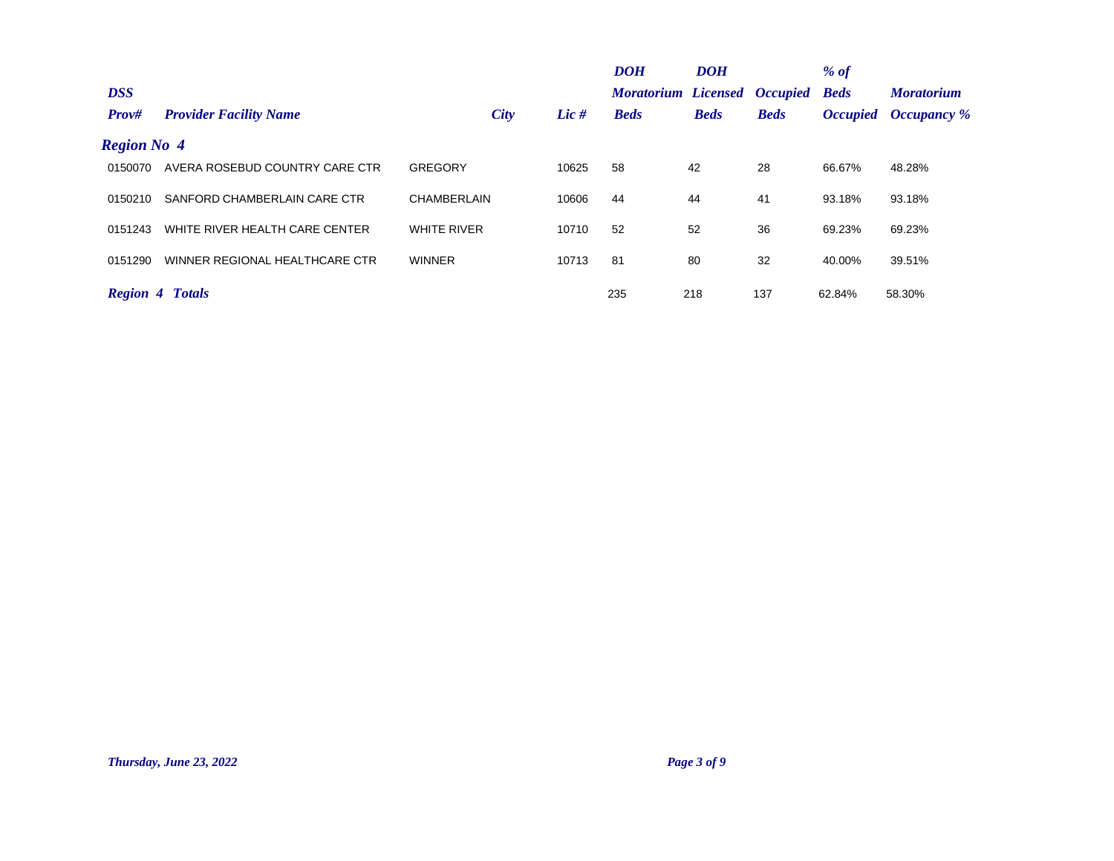| <b>DSS</b>          |                                |                    |       | <b>DOH</b><br><b>Moratorium Licensed Occupied</b> | <b>DOH</b>  |             | % $of$<br><b>Beds</b> | <b>Moratorium</b>           |
|---------------------|--------------------------------|--------------------|-------|---------------------------------------------------|-------------|-------------|-----------------------|-----------------------------|
| Prov#               | <b>Provider Facility Name</b>  | City               | Lie # | <b>Beds</b>                                       | <b>Beds</b> | <b>Beds</b> |                       | <b>Occupied Occupancy</b> % |
| <b>Region No. 4</b> |                                |                    |       |                                                   |             |             |                       |                             |
| 0150070             | AVERA ROSEBUD COUNTRY CARE CTR | GREGORY            | 10625 | 58                                                | 42          | 28          | 66.67%                | 48.28%                      |
| 0150210             | SANFORD CHAMBERLAIN CARE CTR   | <b>CHAMBERLAIN</b> | 10606 | 44                                                | 44          | 41          | 93.18%                | 93.18%                      |
| 0151243             | WHITE RIVER HEALTH CARE CENTER | <b>WHITE RIVER</b> | 10710 | 52                                                | 52          | 36          | 69.23%                | 69.23%                      |
| 0151290             | WINNER REGIONAL HEALTHCARE CTR | <b>WINNER</b>      | 10713 | 81                                                | 80          | 32          | 40.00%                | 39.51%                      |
|                     | <b>Region 4 Totals</b>         |                    |       | 235                                               | 218         | 137         | 62.84%                | 58.30%                      |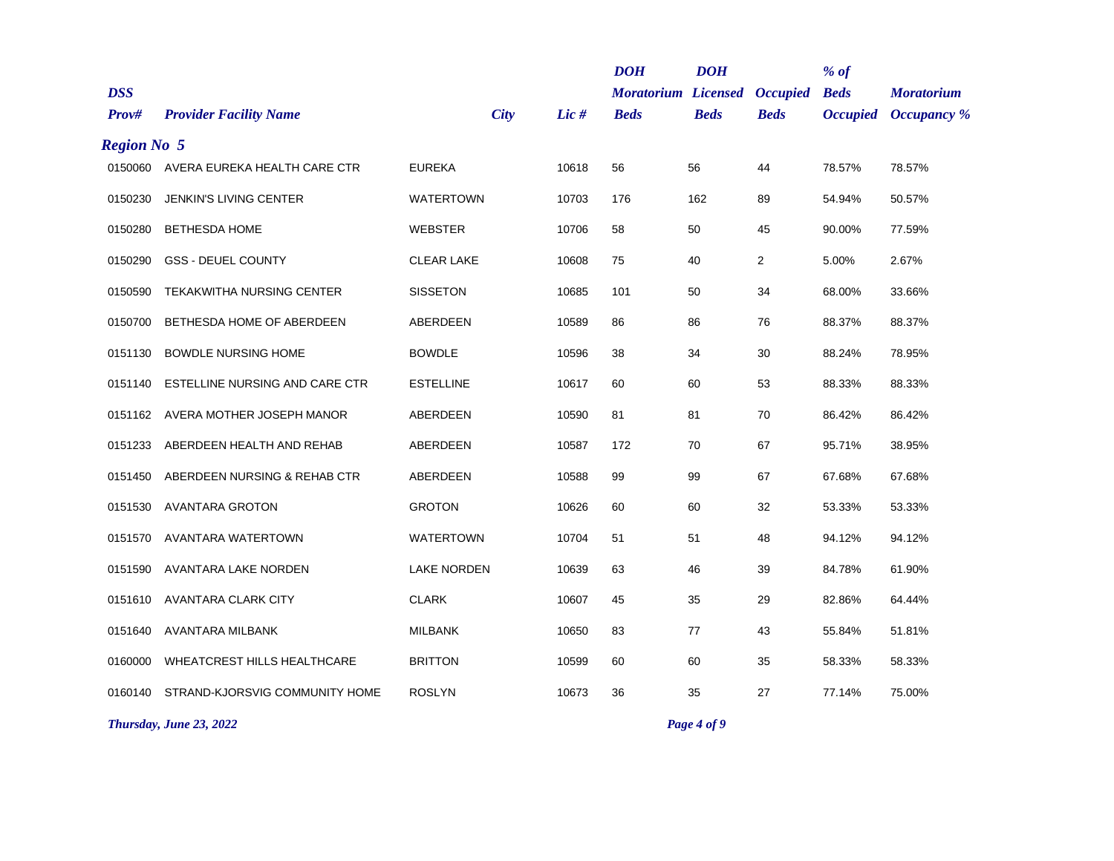|                     |                                  |                    |       | <b>DOH</b>                                | <b>DOH</b>  |                                | $%$ of                         |                                         |
|---------------------|----------------------------------|--------------------|-------|-------------------------------------------|-------------|--------------------------------|--------------------------------|-----------------------------------------|
| <b>DSS</b><br>Prov# | <b>Provider Facility Name</b>    | <b>City</b>        | Lic # | <b>Moratorium Licensed</b><br><b>Beds</b> | <b>Beds</b> | <b>Occupied</b><br><b>Beds</b> | <b>Beds</b><br><b>Occupied</b> | <b>Moratorium</b><br><b>Occupancy</b> % |
| <b>Region No 5</b>  |                                  |                    |       |                                           |             |                                |                                |                                         |
| 0150060             | AVERA EUREKA HEALTH CARE CTR     | <b>EUREKA</b>      | 10618 | 56                                        | 56          | 44                             | 78.57%                         | 78.57%                                  |
| 0150230             | JENKIN'S LIVING CENTER           | <b>WATERTOWN</b>   | 10703 | 176                                       | 162         | 89                             | 54.94%                         | 50.57%                                  |
| 0150280             | <b>BETHESDA HOME</b>             | <b>WEBSTER</b>     | 10706 | 58                                        | 50          | 45                             | 90.00%                         | 77.59%                                  |
| 0150290             | <b>GSS - DEUEL COUNTY</b>        | <b>CLEAR LAKE</b>  | 10608 | 75                                        | 40          | $\overline{2}$                 | 5.00%                          | 2.67%                                   |
| 0150590             | <b>TEKAKWITHA NURSING CENTER</b> | <b>SISSETON</b>    | 10685 | 101                                       | 50          | 34                             | 68.00%                         | 33.66%                                  |
| 0150700             | BETHESDA HOME OF ABERDEEN        | ABERDEEN           | 10589 | 86                                        | 86          | 76                             | 88.37%                         | 88.37%                                  |
| 0151130             | <b>BOWDLE NURSING HOME</b>       | <b>BOWDLE</b>      | 10596 | 38                                        | 34          | 30                             | 88.24%                         | 78.95%                                  |
| 0151140             | ESTELLINE NURSING AND CARE CTR   | <b>ESTELLINE</b>   | 10617 | 60                                        | 60          | 53                             | 88.33%                         | 88.33%                                  |
| 0151162             | AVERA MOTHER JOSEPH MANOR        | ABERDEEN           | 10590 | 81                                        | 81          | 70                             | 86.42%                         | 86.42%                                  |
| 0151233             | ABERDEEN HEALTH AND REHAB        | ABERDEEN           | 10587 | 172                                       | 70          | 67                             | 95.71%                         | 38.95%                                  |
| 0151450             | ABERDEEN NURSING & REHAB CTR     | ABERDEEN           | 10588 | 99                                        | 99          | 67                             | 67.68%                         | 67.68%                                  |
| 0151530             | <b>AVANTARA GROTON</b>           | <b>GROTON</b>      | 10626 | 60                                        | 60          | 32                             | 53.33%                         | 53.33%                                  |
| 0151570             | AVANTARA WATERTOWN               | <b>WATERTOWN</b>   | 10704 | 51                                        | 51          | 48                             | 94.12%                         | 94.12%                                  |
| 0151590             | AVANTARA LAKE NORDEN             | <b>LAKE NORDEN</b> | 10639 | 63                                        | 46          | 39                             | 84.78%                         | 61.90%                                  |
| 0151610             | AVANTARA CLARK CITY              | <b>CLARK</b>       | 10607 | 45                                        | 35          | 29                             | 82.86%                         | 64.44%                                  |
| 0151640             | AVANTARA MILBANK                 | <b>MILBANK</b>     | 10650 | 83                                        | 77          | 43                             | 55.84%                         | 51.81%                                  |
| 0160000             | WHEATCREST HILLS HEALTHCARE      | <b>BRITTON</b>     | 10599 | 60                                        | 60          | 35                             | 58.33%                         | 58.33%                                  |
| 0160140             | STRAND-KJORSVIG COMMUNITY HOME   | <b>ROSLYN</b>      | 10673 | 36                                        | 35          | 27                             | 77.14%                         | 75.00%                                  |
|                     | Thursday, June 23, 2022          |                    |       |                                           | Page 4 of 9 |                                |                                |                                         |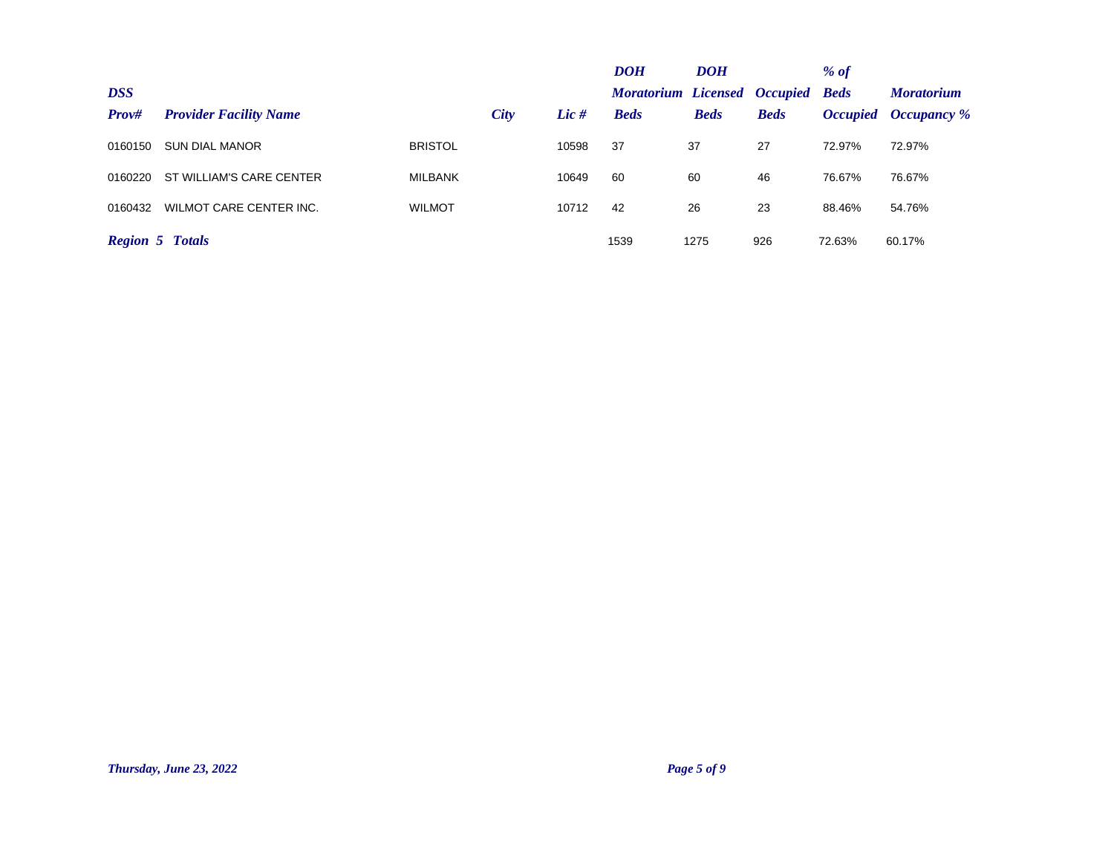|                        |                               |                |      |       | <b>DOH</b>                               | <b>DOH</b>  |             | % of   |                      |
|------------------------|-------------------------------|----------------|------|-------|------------------------------------------|-------------|-------------|--------|----------------------|
| <b>DSS</b>             |                               |                |      |       | <b>Moratorium Licensed Occupied Beds</b> |             |             |        | <b>Moratorium</b>    |
| Prov#                  | <b>Provider Facility Name</b> |                | City | Lie # | <b>Beds</b>                              | <b>Beds</b> | <b>Beds</b> |        | Occupied Occupancy % |
| 0160150                | <b>SUN DIAL MANOR</b>         | <b>BRISTOL</b> |      | 10598 | 37                                       | 37          | 27          | 72.97% | 72.97%               |
| 0160220                | ST WILLIAM'S CARE CENTER      | <b>MILBANK</b> |      | 10649 | 60                                       | 60          | 46          | 76.67% | 76.67%               |
| 0160432                | WILMOT CARE CENTER INC.       | <b>WILMOT</b>  |      | 10712 | 42                                       | 26          | 23          | 88.46% | 54.76%               |
| <b>Region 5 Totals</b> |                               |                |      |       | 1539                                     | 1275        | 926         | 72.63% | 60.17%               |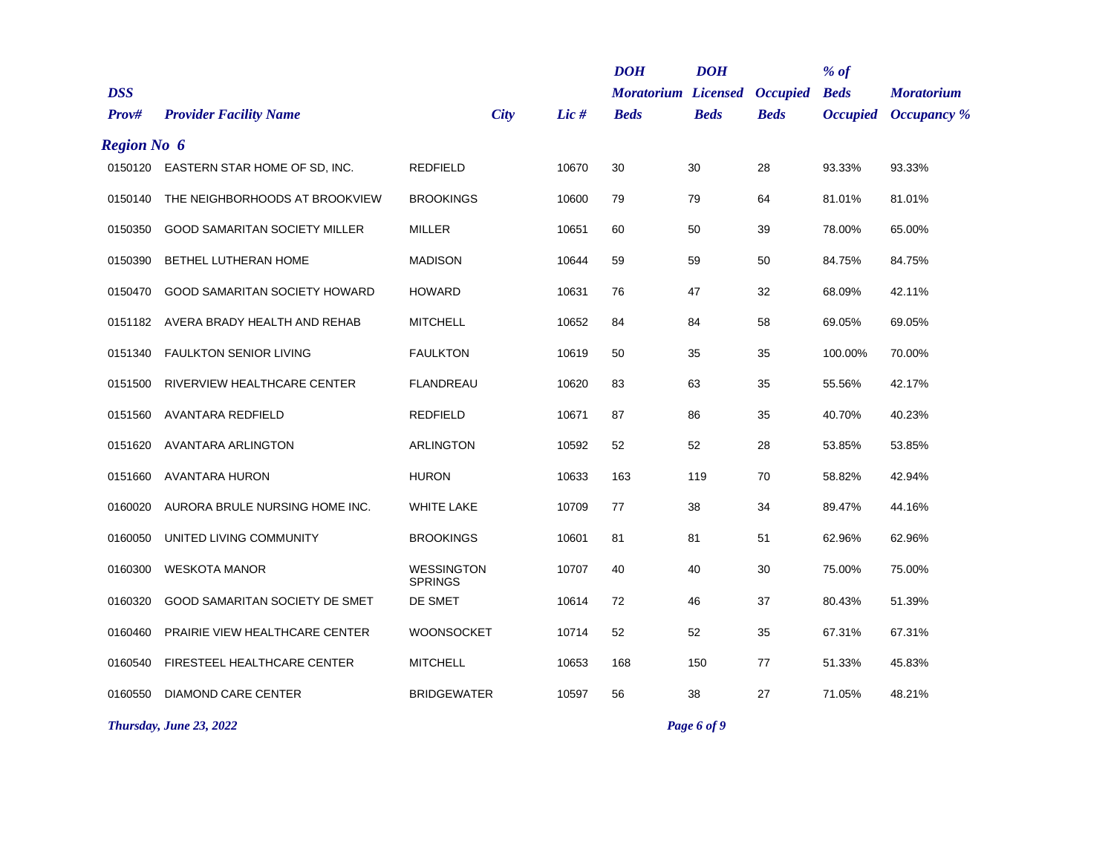|                    |                                       |                                     |       | <b>DOH</b>                 | <b>DOH</b>  |                 | $%$ of          |                    |
|--------------------|---------------------------------------|-------------------------------------|-------|----------------------------|-------------|-----------------|-----------------|--------------------|
| <b>DSS</b>         |                                       |                                     |       | <b>Moratorium Licensed</b> |             | <b>Occupied</b> | <b>Beds</b>     | <b>Moratorium</b>  |
| Prov#              | <b>Provider Facility Name</b>         | <b>City</b>                         | Lic # | <b>Beds</b>                | <b>Beds</b> | <b>Beds</b>     | <b>Occupied</b> | <b>Occupancy</b> % |
| <b>Region No 6</b> |                                       |                                     |       |                            |             |                 |                 |                    |
|                    | 0150120 EASTERN STAR HOME OF SD, INC. | <b>REDFIELD</b>                     | 10670 | 30                         | 30          | 28              | 93.33%          | 93.33%             |
| 0150140            | THE NEIGHBORHOODS AT BROOKVIEW        | <b>BROOKINGS</b>                    | 10600 | 79                         | 79          | 64              | 81.01%          | 81.01%             |
| 0150350            | GOOD SAMARITAN SOCIETY MILLER         | <b>MILLER</b>                       | 10651 | 60                         | 50          | 39              | 78.00%          | 65.00%             |
| 0150390            | BETHEL LUTHERAN HOME                  | <b>MADISON</b>                      | 10644 | 59                         | 59          | 50              | 84.75%          | 84.75%             |
| 0150470            | <b>GOOD SAMARITAN SOCIETY HOWARD</b>  | <b>HOWARD</b>                       | 10631 | 76                         | 47          | 32              | 68.09%          | 42.11%             |
| 0151182            | AVERA BRADY HEALTH AND REHAB          | <b>MITCHELL</b>                     | 10652 | 84                         | 84          | 58              | 69.05%          | 69.05%             |
| 0151340            | <b>FAULKTON SENIOR LIVING</b>         | <b>FAULKTON</b>                     | 10619 | 50                         | 35          | 35              | 100.00%         | 70.00%             |
| 0151500            | RIVERVIEW HEALTHCARE CENTER           | <b>FLANDREAU</b>                    | 10620 | 83                         | 63          | 35              | 55.56%          | 42.17%             |
| 0151560            | <b>AVANTARA REDFIELD</b>              | <b>REDFIELD</b>                     | 10671 | 87                         | 86          | 35              | 40.70%          | 40.23%             |
| 0151620            | AVANTARA ARLINGTON                    | <b>ARLINGTON</b>                    | 10592 | 52                         | 52          | 28              | 53.85%          | 53.85%             |
| 0151660            | <b>AVANTARA HURON</b>                 | <b>HURON</b>                        | 10633 | 163                        | 119         | 70              | 58.82%          | 42.94%             |
| 0160020            | AURORA BRULE NURSING HOME INC.        | <b>WHITE LAKE</b>                   | 10709 | 77                         | 38          | 34              | 89.47%          | 44.16%             |
| 0160050            | UNITED LIVING COMMUNITY               | <b>BROOKINGS</b>                    | 10601 | 81                         | 81          | 51              | 62.96%          | 62.96%             |
| 0160300            | <b>WESKOTA MANOR</b>                  | <b>WESSINGTON</b><br><b>SPRINGS</b> | 10707 | 40                         | 40          | 30              | 75.00%          | 75.00%             |
| 0160320            | GOOD SAMARITAN SOCIETY DE SMET        | DE SMET                             | 10614 | 72                         | 46          | 37              | 80.43%          | 51.39%             |
| 0160460            | PRAIRIE VIEW HEALTHCARE CENTER        | WOONSOCKET                          | 10714 | 52                         | 52          | 35              | 67.31%          | 67.31%             |
| 0160540            | FIRESTEEL HEALTHCARE CENTER           | <b>MITCHELL</b>                     | 10653 | 168                        | 150         | 77              | 51.33%          | 45.83%             |
| 0160550            | <b>DIAMOND CARE CENTER</b>            | <b>BRIDGEWATER</b>                  | 10597 | 56                         | 38          | 27              | 71.05%          | 48.21%             |
|                    |                                       |                                     |       |                            |             |                 |                 |                    |

*Thursday, June 23, 2022 Page 6 of 9*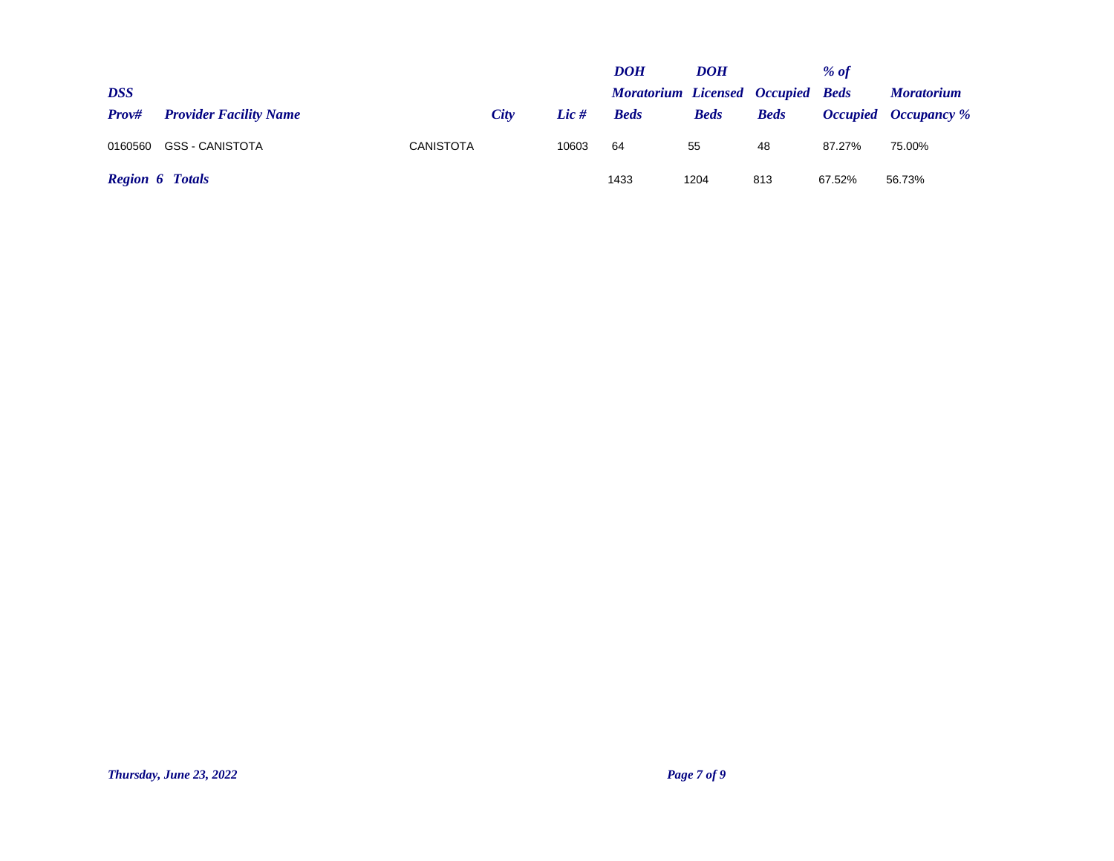|                        |                               |                  |      |       | <b>DOH</b>                               | DOH         |             | $%$ of |                             |
|------------------------|-------------------------------|------------------|------|-------|------------------------------------------|-------------|-------------|--------|-----------------------------|
| <b>DSS</b>             |                               |                  |      |       | <b>Moratorium Licensed Occupied Beds</b> |             |             |        | <i>Moratorium</i>           |
| Prov#                  | <b>Provider Facility Name</b> |                  | City | Lie # | <b>Beds</b>                              | <b>Beds</b> | <b>Beds</b> |        | <b>Occupied Occupancy</b> % |
| 0160560                | <b>GSS - CANISTOTA</b>        | <b>CANISTOTA</b> |      | 10603 | 64                                       | 55          | 48          | 87.27% | 75.00%                      |
| <b>Region 6 Totals</b> |                               |                  |      |       | 1433                                     | 1204        | 813         | 67.52% | 56.73%                      |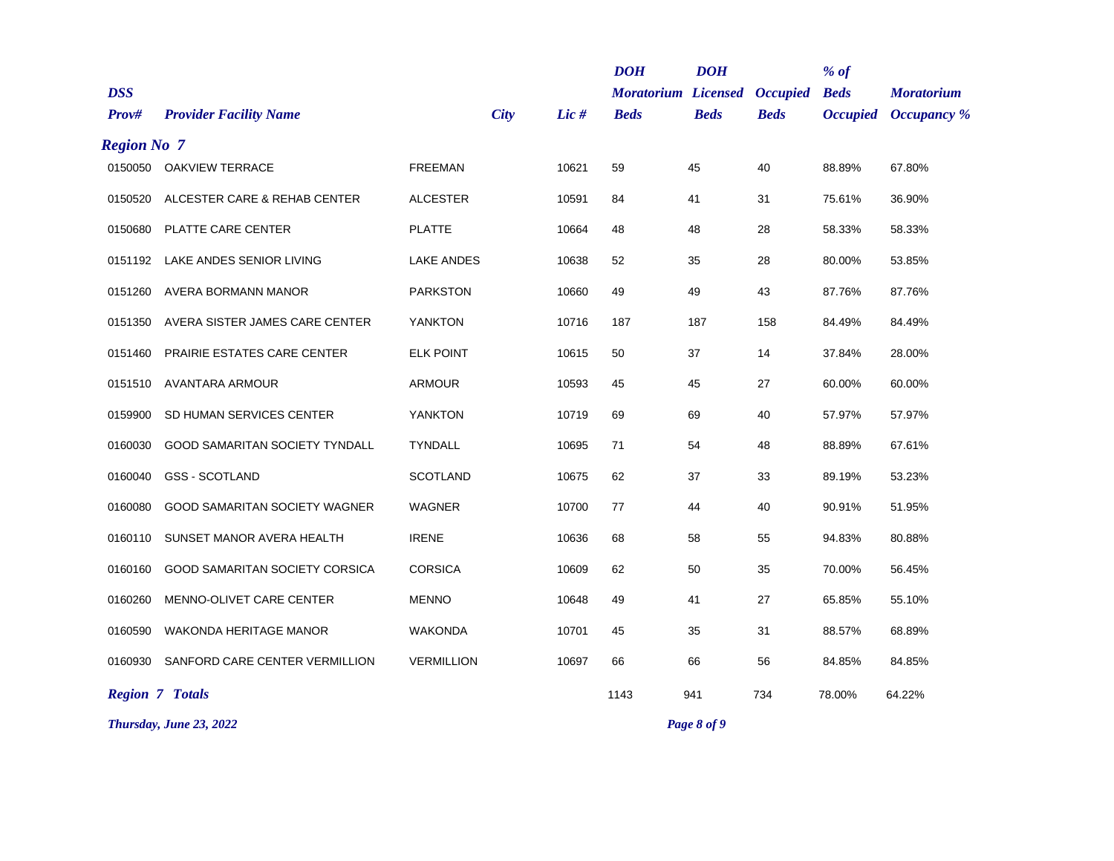| <b>DSS</b><br><b>Moratorium Licensed</b><br><b>Beds</b><br><b>Occupied</b><br><b>Moratorium</b><br><b>City</b><br>Lic #<br>Occupancy %<br>Prov#<br><b>Provider Facility Name</b><br><b>Beds</b><br><b>Beds</b><br><b>Beds</b><br><b>Occupied</b><br><b>Region No 7</b><br>0150050 OAKVIEW TERRACE<br><b>FREEMAN</b><br>10621<br>59<br>45<br>40<br>88.89%<br>67.80%<br>ALCESTER CARE & REHAB CENTER<br><b>ALCESTER</b><br>10591<br>31<br>75.61%<br>36.90%<br>0150520<br>84<br>41<br>PLATTE CARE CENTER<br><b>PLATTE</b><br>10664<br>48<br>48<br>28<br>58.33%<br>58.33%<br>0150680<br>LAKE ANDES SENIOR LIVING<br><b>LAKE ANDES</b><br>10638<br>52<br>35<br>28<br>80.00%<br>53.85%<br>0151192<br>AVERA BORMANN MANOR<br><b>PARKSTON</b><br>10660<br>49<br>43<br>49<br>87.76%<br>87.76%<br>0151260<br>AVERA SISTER JAMES CARE CENTER<br>YANKTON<br>10716<br>158<br>84.49%<br>0151350<br>187<br>187<br>84.49%<br>PRAIRIE ESTATES CARE CENTER<br><b>ELK POINT</b><br>10615<br>37<br>28.00%<br>50<br>14<br>37.84%<br>0151460<br>AVANTARA ARMOUR<br><b>ARMOUR</b><br>10593<br>45<br>45<br>27<br>60.00%<br>60.00%<br>0151510<br><b>YANKTON</b><br>SD HUMAN SERVICES CENTER<br>10719<br>69<br>69<br>40<br>57.97%<br>57.97%<br>0159900<br>10695<br>GOOD SAMARITAN SOCIETY TYNDALL<br><b>TYNDALL</b><br>71<br>54<br>48<br>88.89%<br>67.61%<br>0160030<br><b>GSS - SCOTLAND</b><br><b>SCOTLAND</b><br>62<br>33<br>0160040<br>10675<br>37<br>89.19%<br>53.23%<br>WAGNER<br>10700<br>77<br>44<br>40<br>51.95%<br>0160080<br>GOOD SAMARITAN SOCIETY WAGNER<br>90.91%<br>SUNSET MANOR AVERA HEALTH<br><b>IRENE</b><br>10636<br>68<br>58<br>55<br>80.88%<br>0160110<br>94.83%<br>GOOD SAMARITAN SOCIETY CORSICA<br><b>CORSICA</b><br>10609<br>62<br>50<br>35<br>70.00%<br>56.45%<br>0160160 |  |  | $%$ of |  | <b>DOH</b> | <b>DOH</b> |  |  |  |  |
|----------------------------------------------------------------------------------------------------------------------------------------------------------------------------------------------------------------------------------------------------------------------------------------------------------------------------------------------------------------------------------------------------------------------------------------------------------------------------------------------------------------------------------------------------------------------------------------------------------------------------------------------------------------------------------------------------------------------------------------------------------------------------------------------------------------------------------------------------------------------------------------------------------------------------------------------------------------------------------------------------------------------------------------------------------------------------------------------------------------------------------------------------------------------------------------------------------------------------------------------------------------------------------------------------------------------------------------------------------------------------------------------------------------------------------------------------------------------------------------------------------------------------------------------------------------------------------------------------------------------------------------------------------------------------------------------------------------------------------------------------------------------------|--|--|--------|--|------------|------------|--|--|--|--|
|                                                                                                                                                                                                                                                                                                                                                                                                                                                                                                                                                                                                                                                                                                                                                                                                                                                                                                                                                                                                                                                                                                                                                                                                                                                                                                                                                                                                                                                                                                                                                                                                                                                                                                                                                                            |  |  |        |  |            |            |  |  |  |  |
|                                                                                                                                                                                                                                                                                                                                                                                                                                                                                                                                                                                                                                                                                                                                                                                                                                                                                                                                                                                                                                                                                                                                                                                                                                                                                                                                                                                                                                                                                                                                                                                                                                                                                                                                                                            |  |  |        |  |            |            |  |  |  |  |
|                                                                                                                                                                                                                                                                                                                                                                                                                                                                                                                                                                                                                                                                                                                                                                                                                                                                                                                                                                                                                                                                                                                                                                                                                                                                                                                                                                                                                                                                                                                                                                                                                                                                                                                                                                            |  |  |        |  |            |            |  |  |  |  |
|                                                                                                                                                                                                                                                                                                                                                                                                                                                                                                                                                                                                                                                                                                                                                                                                                                                                                                                                                                                                                                                                                                                                                                                                                                                                                                                                                                                                                                                                                                                                                                                                                                                                                                                                                                            |  |  |        |  |            |            |  |  |  |  |
|                                                                                                                                                                                                                                                                                                                                                                                                                                                                                                                                                                                                                                                                                                                                                                                                                                                                                                                                                                                                                                                                                                                                                                                                                                                                                                                                                                                                                                                                                                                                                                                                                                                                                                                                                                            |  |  |        |  |            |            |  |  |  |  |
|                                                                                                                                                                                                                                                                                                                                                                                                                                                                                                                                                                                                                                                                                                                                                                                                                                                                                                                                                                                                                                                                                                                                                                                                                                                                                                                                                                                                                                                                                                                                                                                                                                                                                                                                                                            |  |  |        |  |            |            |  |  |  |  |
|                                                                                                                                                                                                                                                                                                                                                                                                                                                                                                                                                                                                                                                                                                                                                                                                                                                                                                                                                                                                                                                                                                                                                                                                                                                                                                                                                                                                                                                                                                                                                                                                                                                                                                                                                                            |  |  |        |  |            |            |  |  |  |  |
|                                                                                                                                                                                                                                                                                                                                                                                                                                                                                                                                                                                                                                                                                                                                                                                                                                                                                                                                                                                                                                                                                                                                                                                                                                                                                                                                                                                                                                                                                                                                                                                                                                                                                                                                                                            |  |  |        |  |            |            |  |  |  |  |
|                                                                                                                                                                                                                                                                                                                                                                                                                                                                                                                                                                                                                                                                                                                                                                                                                                                                                                                                                                                                                                                                                                                                                                                                                                                                                                                                                                                                                                                                                                                                                                                                                                                                                                                                                                            |  |  |        |  |            |            |  |  |  |  |
|                                                                                                                                                                                                                                                                                                                                                                                                                                                                                                                                                                                                                                                                                                                                                                                                                                                                                                                                                                                                                                                                                                                                                                                                                                                                                                                                                                                                                                                                                                                                                                                                                                                                                                                                                                            |  |  |        |  |            |            |  |  |  |  |
|                                                                                                                                                                                                                                                                                                                                                                                                                                                                                                                                                                                                                                                                                                                                                                                                                                                                                                                                                                                                                                                                                                                                                                                                                                                                                                                                                                                                                                                                                                                                                                                                                                                                                                                                                                            |  |  |        |  |            |            |  |  |  |  |
|                                                                                                                                                                                                                                                                                                                                                                                                                                                                                                                                                                                                                                                                                                                                                                                                                                                                                                                                                                                                                                                                                                                                                                                                                                                                                                                                                                                                                                                                                                                                                                                                                                                                                                                                                                            |  |  |        |  |            |            |  |  |  |  |
|                                                                                                                                                                                                                                                                                                                                                                                                                                                                                                                                                                                                                                                                                                                                                                                                                                                                                                                                                                                                                                                                                                                                                                                                                                                                                                                                                                                                                                                                                                                                                                                                                                                                                                                                                                            |  |  |        |  |            |            |  |  |  |  |
|                                                                                                                                                                                                                                                                                                                                                                                                                                                                                                                                                                                                                                                                                                                                                                                                                                                                                                                                                                                                                                                                                                                                                                                                                                                                                                                                                                                                                                                                                                                                                                                                                                                                                                                                                                            |  |  |        |  |            |            |  |  |  |  |
|                                                                                                                                                                                                                                                                                                                                                                                                                                                                                                                                                                                                                                                                                                                                                                                                                                                                                                                                                                                                                                                                                                                                                                                                                                                                                                                                                                                                                                                                                                                                                                                                                                                                                                                                                                            |  |  |        |  |            |            |  |  |  |  |
|                                                                                                                                                                                                                                                                                                                                                                                                                                                                                                                                                                                                                                                                                                                                                                                                                                                                                                                                                                                                                                                                                                                                                                                                                                                                                                                                                                                                                                                                                                                                                                                                                                                                                                                                                                            |  |  |        |  |            |            |  |  |  |  |
|                                                                                                                                                                                                                                                                                                                                                                                                                                                                                                                                                                                                                                                                                                                                                                                                                                                                                                                                                                                                                                                                                                                                                                                                                                                                                                                                                                                                                                                                                                                                                                                                                                                                                                                                                                            |  |  |        |  |            |            |  |  |  |  |
| 27<br>MENNO-OLIVET CARE CENTER<br><b>MENNO</b><br>10648<br>49<br>41<br>65.85%<br>55.10%<br>0160260                                                                                                                                                                                                                                                                                                                                                                                                                                                                                                                                                                                                                                                                                                                                                                                                                                                                                                                                                                                                                                                                                                                                                                                                                                                                                                                                                                                                                                                                                                                                                                                                                                                                         |  |  |        |  |            |            |  |  |  |  |
| WAKONDA HERITAGE MANOR<br><b>WAKONDA</b><br>10701<br>45<br>35<br>31<br>88.57%<br>68.89%<br>0160590                                                                                                                                                                                                                                                                                                                                                                                                                                                                                                                                                                                                                                                                                                                                                                                                                                                                                                                                                                                                                                                                                                                                                                                                                                                                                                                                                                                                                                                                                                                                                                                                                                                                         |  |  |        |  |            |            |  |  |  |  |
| <b>VERMILLION</b><br>10697<br>SANFORD CARE CENTER VERMILLION<br>66<br>66<br>56<br>84.85%<br>84.85%<br>0160930                                                                                                                                                                                                                                                                                                                                                                                                                                                                                                                                                                                                                                                                                                                                                                                                                                                                                                                                                                                                                                                                                                                                                                                                                                                                                                                                                                                                                                                                                                                                                                                                                                                              |  |  |        |  |            |            |  |  |  |  |
| <b>Region 7 Totals</b><br>1143<br>941<br>734<br>78.00%<br>64.22%                                                                                                                                                                                                                                                                                                                                                                                                                                                                                                                                                                                                                                                                                                                                                                                                                                                                                                                                                                                                                                                                                                                                                                                                                                                                                                                                                                                                                                                                                                                                                                                                                                                                                                           |  |  |        |  |            |            |  |  |  |  |
| Page 8 of 9<br>Thursday, June 23, 2022                                                                                                                                                                                                                                                                                                                                                                                                                                                                                                                                                                                                                                                                                                                                                                                                                                                                                                                                                                                                                                                                                                                                                                                                                                                                                                                                                                                                                                                                                                                                                                                                                                                                                                                                     |  |  |        |  |            |            |  |  |  |  |